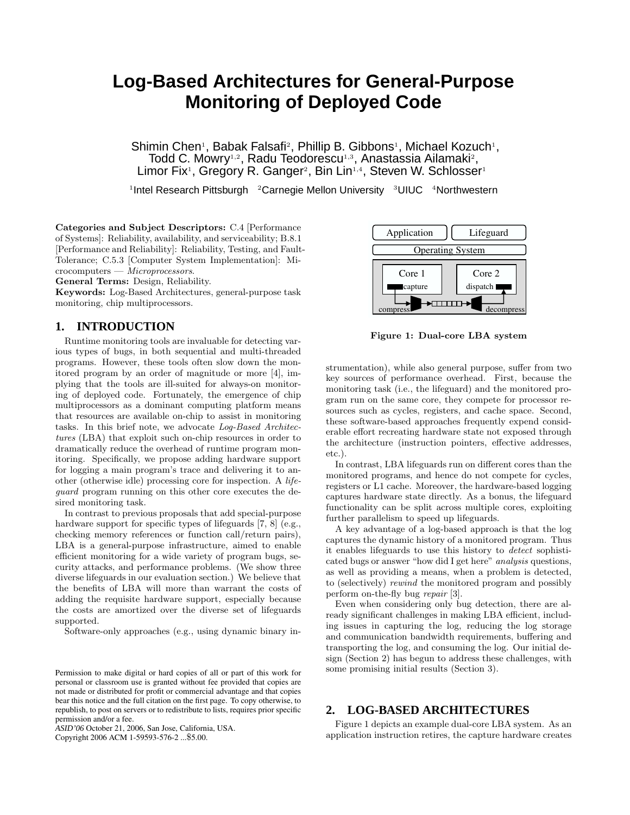# **Log-Based Architectures for General-Purpose Monitoring of Deployed Code**

Shimin Chen<sup>1</sup>, Babak Falsafi<sup>2</sup>, Phillip B. Gibbons<sup>1</sup>, Michael Kozuch<sup>1</sup>, Todd C. Mowry<sup>1,2</sup>, Radu Teodorescu<sup>1,3</sup>, Anastassia Ailamaki<sup>2</sup>, Limor Fix<sup>1</sup>, Gregory R. Ganger<sup>2</sup>, Bin Lin<sup>1,4</sup>, Steven W. Schlosser<sup>1</sup>

<sup>1</sup>Intel Research Pittsburgh <sup>2</sup>Carnegie Mellon University <sup>3</sup>UIUC <sup>4</sup>Northwestern

Categories and Subject Descriptors: C.4 [Performance of Systems]: Reliability, availability, and serviceability; B.8.1 [Performance and Reliability]: Reliability, Testing, and Fault-Tolerance; C.5.3 [Computer System Implementation]: Microcomputers — Microprocessors.

General Terms: Design, Reliability.

Keywords: Log-Based Architectures, general-purpose task monitoring, chip multiprocessors.

### **1. INTRODUCTION**

Runtime monitoring tools are invaluable for detecting various types of bugs, in both sequential and multi-threaded programs. However, these tools often slow down the monitored program by an order of magnitude or more [4], implying that the tools are ill-suited for always-on monitoring of deployed code. Fortunately, the emergence of chip multiprocessors as a dominant computing platform means that resources are available on-chip to assist in monitoring tasks. In this brief note, we advocate Log-Based Architectures (LBA) that exploit such on-chip resources in order to dramatically reduce the overhead of runtime program monitoring. Specifically, we propose adding hardware support for logging a main program's trace and delivering it to another (otherwise idle) processing core for inspection. A lifeguard program running on this other core executes the desired monitoring task.

In contrast to previous proposals that add special-purpose hardware support for specific types of lifeguards [7, 8] (e.g., checking memory references or function call/return pairs), LBA is a general-purpose infrastructure, aimed to enable efficient monitoring for a wide variety of program bugs, security attacks, and performance problems. (We show three diverse lifeguards in our evaluation section.) We believe that the benefits of LBA will more than warrant the costs of adding the requisite hardware support, especially because the costs are amortized over the diverse set of lifeguards supported.

Software-only approaches (e.g., using dynamic binary in-

*ASID'06* October 21, 2006, San Jose, California, USA.

Copyright 2006 ACM 1-59593-576-2 ...\$5.00.



Figure 1: Dual-core LBA system

strumentation), while also general purpose, suffer from two key sources of performance overhead. First, because the monitoring task (i.e., the lifeguard) and the monitored program run on the same core, they compete for processor resources such as cycles, registers, and cache space. Second, these software-based approaches frequently expend considerable effort recreating hardware state not exposed through the architecture (instruction pointers, effective addresses, etc.).

In contrast, LBA lifeguards run on different cores than the monitored programs, and hence do not compete for cycles, registers or L1 cache. Moreover, the hardware-based logging captures hardware state directly. As a bonus, the lifeguard functionality can be split across multiple cores, exploiting further parallelism to speed up lifeguards.

A key advantage of a log-based approach is that the log captures the dynamic history of a monitored program. Thus it enables lifeguards to use this history to detect sophisticated bugs or answer "how did I get here" analysis questions, as well as providing a means, when a problem is detected, to (selectively) rewind the monitored program and possibly perform on-the-fly bug repair [3].

Even when considering only bug detection, there are already significant challenges in making LBA efficient, including issues in capturing the log, reducing the log storage and communication bandwidth requirements, buffering and transporting the log, and consuming the log. Our initial design (Section 2) has begun to address these challenges, with some promising initial results (Section 3).

## **2. LOG-BASED ARCHITECTURES**

Figure 1 depicts an example dual-core LBA system. As an application instruction retires, the capture hardware creates

Permission to make digital or hard copies of all or part of this work for personal or classroom use is granted without fee provided that copies are not made or distributed for profit or commercial advantage and that copies bear this notice and the full citation on the first page. To copy otherwise, to republish, to post on servers or to redistribute to lists, requires prior specific permission and/or a fee.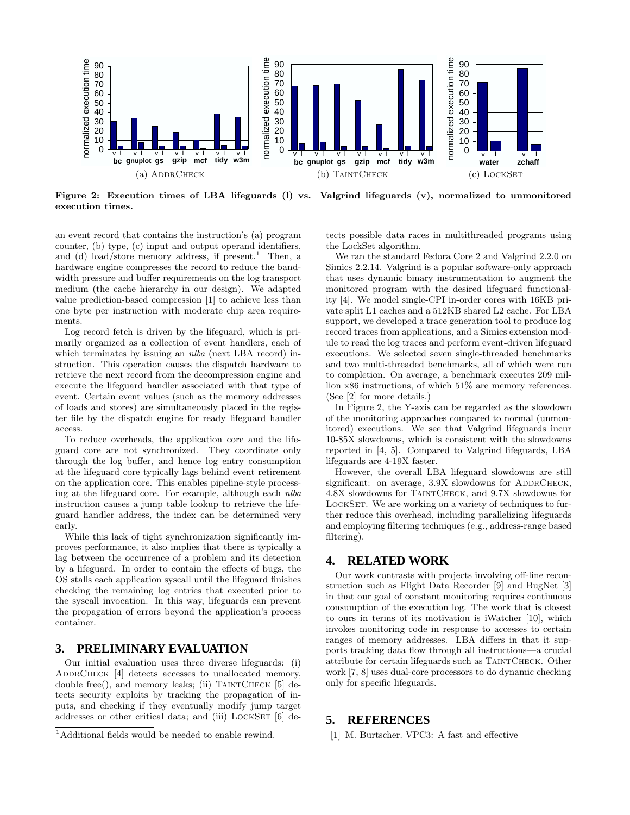

Figure 2: Execution times of LBA lifeguards (l) vs. Valgrind lifeguards (v), normalized to unmonitored execution times.

an event record that contains the instruction's (a) program counter, (b) type, (c) input and output operand identifiers, and (d) load/store memory address, if present.<sup>1</sup> Then, a hardware engine compresses the record to reduce the bandwidth pressure and buffer requirements on the log transport medium (the cache hierarchy in our design). We adapted value prediction-based compression [1] to achieve less than one byte per instruction with moderate chip area requirements.

Log record fetch is driven by the lifeguard, which is primarily organized as a collection of event handlers, each of which terminates by issuing an *nlba* (next LBA record) instruction. This operation causes the dispatch hardware to retrieve the next record from the decompression engine and execute the lifeguard handler associated with that type of event. Certain event values (such as the memory addresses of loads and stores) are simultaneously placed in the register file by the dispatch engine for ready lifeguard handler access.

To reduce overheads, the application core and the lifeguard core are not synchronized. They coordinate only through the log buffer, and hence log entry consumption at the lifeguard core typically lags behind event retirement on the application core. This enables pipeline-style processing at the lifeguard core. For example, although each nlba instruction causes a jump table lookup to retrieve the lifeguard handler address, the index can be determined very early.

While this lack of tight synchronization significantly improves performance, it also implies that there is typically a lag between the occurrence of a problem and its detection by a lifeguard. In order to contain the effects of bugs, the OS stalls each application syscall until the lifeguard finishes checking the remaining log entries that executed prior to the syscall invocation. In this way, lifeguards can prevent the propagation of errors beyond the application's process container.

#### **3. PRELIMINARY EVALUATION**

Our initial evaluation uses three diverse lifeguards: (i) ADDRCHECK [4] detects accesses to unallocated memory, double free(), and memory leaks; (ii) TAINTCHECK [5] detects security exploits by tracking the propagation of inputs, and checking if they eventually modify jump target addresses or other critical data; and (iii) LOCKSET [6] detects possible data races in multithreaded programs using the LockSet algorithm.

We ran the standard Fedora Core 2 and Valgrind 2.2.0 on Simics 2.2.14. Valgrind is a popular software-only approach that uses dynamic binary instrumentation to augment the monitored program with the desired lifeguard functionality [4]. We model single-CPI in-order cores with 16KB private split L1 caches and a 512KB shared L2 cache. For LBA support, we developed a trace generation tool to produce log record traces from applications, and a Simics extension module to read the log traces and perform event-driven lifeguard executions. We selected seven single-threaded benchmarks and two multi-threaded benchmarks, all of which were run to completion. On average, a benchmark executes 209 million x86 instructions, of which 51% are memory references. (See [2] for more details.)

In Figure 2, the Y-axis can be regarded as the slowdown of the monitoring approaches compared to normal (unmonitored) executions. We see that Valgrind lifeguards incur 10-85X slowdowns, which is consistent with the slowdowns reported in [4, 5]. Compared to Valgrind lifeguards, LBA lifeguards are 4-19X faster.

However, the overall LBA lifeguard slowdowns are still significant: on average,  $3.9X$  slowdowns for ADDRCHECK, 4.8X slowdowns for TaintCheck, and 9.7X slowdowns for LOCKSET. We are working on a variety of techniques to further reduce this overhead, including parallelizing lifeguards and employing filtering techniques (e.g., address-range based filtering).

## **4. RELATED WORK**

Our work contrasts with projects involving off-line reconstruction such as Flight Data Recorder [9] and BugNet [3] in that our goal of constant monitoring requires continuous consumption of the execution log. The work that is closest to ours in terms of its motivation is iWatcher [10], which invokes monitoring code in response to accesses to certain ranges of memory addresses. LBA differs in that it supports tracking data flow through all instructions—a crucial attribute for certain lifeguards such as TaintCheck. Other work [7, 8] uses dual-core processors to do dynamic checking only for specific lifeguards.

## **5. REFERENCES**

[1] M. Burtscher. VPC3: A fast and effective

 $1$ Additional fields would be needed to enable rewind.